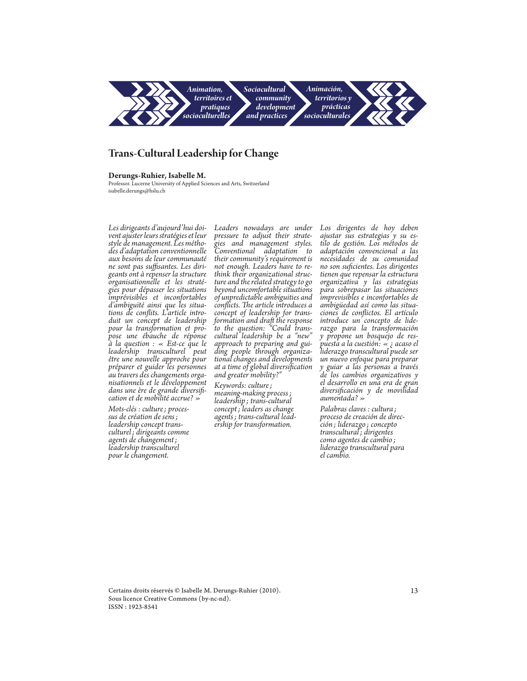

# **Trans-Cultural Leadership for Change**

## **Derungs-Ruhier, Isabelle M.**

Professor. Lucerne University of Applied Sciences and Arts, Switzerland isabelle.derungs@hslu.ch

*Les dirigeants d'aujourd'hui doi- vent ajuster leurs stratégies et leur style de management. Les métho- des d'adaptation conventionnelle aux besoins de leur communauté ne sont pas suffisantes. Les diri- geants ont à repenser la structure organisationnelle et les straté- gies pour dépasser les situations imprévisibles et inconfortables d'ambiguïté ainsi que les situa- tions de conflits. L'article intro- duit un concept de leadership pour la transformation et pro- pose une ébauche de réponse à la question : « Est-ce que le leadership transculturel peut être une nouvelle approche pour préparer et guider les personnes au travers des changements orga- nisationnels et le développement dans une ère de grande diversifi- cation et de mobilité accrue? »*

*Mots-clés : culture; proces- sus de création de sens; leadership concept trans- culturel; dirigeants comme agents de changement; leadership transculturel pour le changement.*

*Leaders nowadays are under pressure to adjust their strate- gies and management styles. Conventional adaptation to their community's requirement is not enough. Leaders have to re- think their organizational struc- ture and the related strategy to go beyond uncomfortable situations of unpredictable ambiguities and conflicts. The article introduces a concept of leadership for trans- formation and draft the response to the question: "Could transcultural leadership be a "new" approach to preparing and gui- ding people through organiza- tional changes and developments at a time of global diversification and greater mobility?"*

*Keywords: culture; meaning-making process; leadership ; trans-cultural concept; leaders as change*   $\emph{exship for transformation.}$ 

*Los dirigentes de hoy deben ajustar sus estrategias y su es- tilo de gestión. Los métodos de adaptación convencional a las necesidades de su comunidad no son suficientes. Los dirigentes tienen que repensar la estructura organizativa y las estrategias para sobrepasar las situaciones imprevisibles e inconfortables de ambigüedad así como las situa- ciones de conflictos. El artículo introduce un concepto de lide- razgo para la transformación y propone un bosquejo de res- puesta a la cuestión: « ¿ acaso el liderazgo transcultural puede ser un nuevo enfoque para preparar y guiar a las personas a través de los cambios organizativos y el desarrollo en una era de gran diversificación y de movilidad aumentada? »*

*Palabras claves : cultura ; proceso de creación de direc- ción ; liderazgo ; concepto transcultural; dirigentes como agentes de cambio ; liderazgo transcultural para el cambio.*

Certains droits réservés © Isabelle M. Derungs-Ruhier (2010). Sous licence Creative Commons (by-nc-nd). ISSN : 1923-8541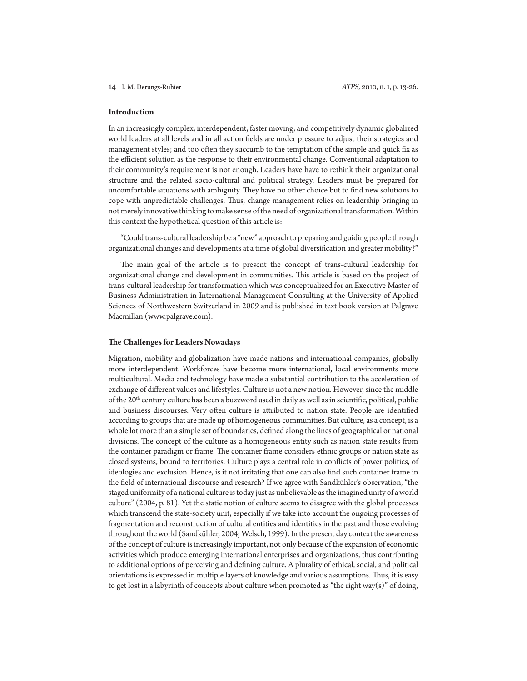#### **Introduction**

In an increasingly complex, interdependent, faster moving, and competitively dynamic globalized world leaders at all levels and in all action fields are under pressure to adjust their strategies and management styles; and too often they succumb to the temptation of the simple and quick fix as the efficient solution as the response to their environmental change. Conventional adaptation to their community's requirement is not enough. Leaders have have to rethink their organizational structure and the related socio-cultural and political strategy. Leaders must be prepared for uncomfortable situations with ambiguity. They have no other choice but to find new solutions to cope with unpredictable challenges. Thus, change management relies on leadership bringing in not merely innovative thinking to make sense of the need of organizational transformation. Within this context the hypothetical question of this article is:

"Could trans-cultural leadership be a "new" approach to preparing and guiding people through organizational changes and developments at a time of global diversification and greater mobility?"

The main goal of the article is to present the concept of trans-cultural leadership for organizational change and development in communities. This article is based on the project of trans-cultural leadership for transformation which was conceptualized for an Executive Master of Business Administration in International Management Consulting at the University of Applied Sciences of Northwestern Switzerland in 2009 and is published in text book version at Palgrave Macmillan (www.palgrave.com).

#### **The Challenges for Leaders Nowadays**

Migration, mobility and globalization have made nations and international companies, globally more interdependent. Workforces have become more international, local environments more multicultural. Media and technology have made a substantial contribution to the acceleration of exchange of different values and lifestyles. Culture is not a new notion. However, since the middle of the  $20<sup>th</sup>$  century culture has been a buzzword used in daily as well as in scientific, political, public and business discourses. Very often culture is attributed to nation state. People are identified according to groups that are made up of homogeneous communities. But culture, as a concept, is a whole lot more than a simple set of boundaries, defined along the lines of geographical or national divisions. The concept of the culture as a homogeneous entity such as nation state results from the container paradigm or frame. The container frame considers ethnic groups or nation state as closed systems, bound to territories. Culture plays a central role in conflicts of power politics, of ideologies and exclusion. Hence, is it not irritating that one can also find such container frame in the field of international discourse and research? If we agree with Sandkühler's observation, "the staged uniformity of a national culture is today just as unbelievable as the imagined unity of a world culture" (2004, p. 81). Yet the static notion of culture seems to disagree with the global processes which transcend the state-society unit, especially if we take into account the ongoing processes of fragmentation and reconstruction of cultural entities and identities in the past and those evolving throughout the world (Sandkühler, 2004; Welsch, 1999). In the present day context the awareness of the concept of culture is increasingly important, not only because of the expansion of economic activities which produce emerging international enterprises and organizations, thus contributing to additional options of perceiving and defining culture. A plurality of ethical, social, and political orientations is expressed in multiple layers of knowledge and various assumptions. Thus, it is easy to get lost in a labyrinth of concepts about culture when promoted as "the right way(s)" of doing,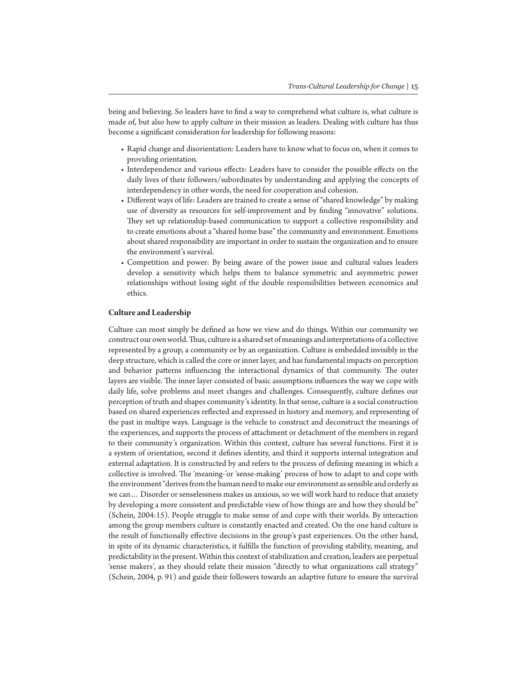being and believing. So leaders have to find a way to comprehend what culture is, what culture is made of, but also how to apply culture in their mission as leaders. Dealing with culture has thus become a significant consideration for leadership for following reasons:

- Rapid change and disorientation: Leaders have to know what to focus on, when it comes to providing orientation*.*
- Interdependence and various effects: Leaders have to consider the possible effects on the daily lives of their followers/subordinates by understanding and applying the concepts of interdependency in other words, the need for cooperation and cohesion.
- Different ways of life: Leaders are trained to create a sense of "shared knowledge" by making use of diversity as resources for self-improvement and by finding "innovative" solutions. They set up relationship-based communication to support a collective responsibility and to create emotions about a "shared home base" the community and environment. Emotions about shared responsibility are important in order to sustain the organization and to ensure the environment's survival.
- Competition and power: By being aware of the power issue and cultural values leaders develop a sensitivity which helps them to balance symmetric and asymmetric power relationships without losing sight of the double responsibilities between economics and ethics.

#### **Culture and Leadership**

Culture can most simply be defined as how we view and do things. Within our community we construct our own world. Thus, culture is a shared set of meanings and interpretations of a collective represented by a group, a community or by an organization. Culture is embedded invisibly in the deep structure, which is called the core or inner layer, and has fundamental impacts on perception and behavior patterns influencing the interactional dynamics of that community. The outer layers are visible. The inner layer consisted of basic assumptions influences the way we cope with daily life, solve problems and meet changes and challenges. Consequently, culture defines our perception of truth and shapes community's identity. In that sense, culture is a social construction based on shared experiences reflected and expressed in history and memory, and representing of the past in multipe ways. Language is the vehicle to construct and deconstruct the meanings of the experiences, and supports the process of attachment or detachment of the members in regard to their community's organization. Within this context, culture has several functions. First it is a system of orientation, second it defines identity, and third it supports internal integration and external adaptation. It is constructed by and refers to the process of defining meaning in which a collective is involved. The 'meaning-'or 'sense-making' process of how to adapt to and cope with the environment "derives from the human need to make our environment as sensible and orderly as we can… Disorder or senselessness makes us anxious, so we will work hard to reduce that anxiety by developing a more consistent and predictable view of how things are and how they should be" (Schein, 2004:15). People struggle to make sense of and cope with their worlds. By interaction among the group members culture is constantly enacted and created. On the one hand culture is the result of functionally effective decisions in the group's past experiences. On the other hand, in spite of its dynamic characteristics, it fulfills the function of providing stability, meaning, and predictability in the present. Within this context of stabilization and creation, leaders are perpetual 'sense makers', as they should relate their mission "directly to what organizations call strategy" (Schein, 2004, p. 91) and guide their followers towards an adaptive future to ensure the survival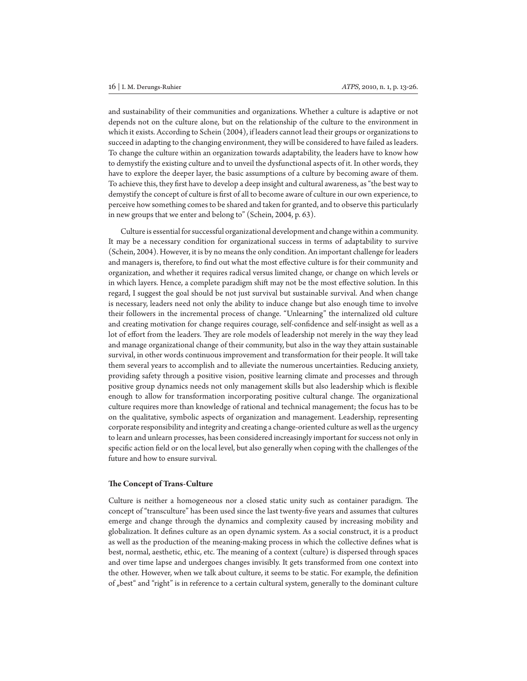and sustainability of their communities and organizations. Whether a culture is adaptive or not depends not on the culture alone, but on the relationship of the culture to the environment in which it exists. According to Schein (2004), if leaders cannot lead their groups or organizations to succeed in adapting to the changing environment, they will be considered to have failed as leaders. To change the culture within an organization towards adaptability, the leaders have to know how to demystify the existing culture and to unveil the dysfunctional aspects of it. In other words, they have to explore the deeper layer, the basic assumptions of a culture by becoming aware of them. To achieve this, they first have to develop a deep insight and cultural awareness, as "the best way to demystify the concept of culture is first of all to become aware of culture in our own experience, to perceive how something comes to be shared and taken for granted, and to observe this particularly in new groups that we enter and belong to" (Schein, 2004, p. 63).

Culture is essential for successful organizational development and change within a community. It may be a necessary condition for organizational success in terms of adaptability to survive (Schein, 2004). However, it is by no means the only condition. An important challenge for leaders and managers is, therefore, to find out what the most effective culture is for their community and organization, and whether it requires radical versus limited change, or change on which levels or in which layers. Hence, a complete paradigm shift may not be the most effective solution. In this regard, I suggest the goal should be not just survival but sustainable survival. And when change is necessary, leaders need not only the ability to induce change but also enough time to involve their followers in the incremental process of change. "Unlearning" the internalized old culture and creating motivation for change requires courage, self-confidence and self-insight as well as a lot of effort from the leaders. They are role models of leadership not merely in the way they lead and manage organizational change of their community, but also in the way they attain sustainable survival, in other words continuous improvement and transformation for their people. It will take them several years to accomplish and to alleviate the numerous uncertainties. Reducing anxiety, providing safety through a positive vision, positive learning climate and processes and through positive group dynamics needs not only management skills but also leadership which is flexible enough to allow for transformation incorporating positive cultural change. The organizational culture requires more than knowledge of rational and technical management; the focus has to be on the qualitative, symbolic aspects of organization and management. Leadership, representing corporate responsibility and integrity and creating a change-oriented culture as well as the urgency to learn and unlearn processes, has been considered increasingly important for success not only in specific action field or on the local level, but also generally when coping with the challenges of the future and how to ensure survival.

#### **The Concept of Trans-Culture**

Culture is neither a homogeneous nor a closed static unity such as container paradigm. The concept of "transculture" has been used since the last twenty-five years and assumes that cultures emerge and change through the dynamics and complexity caused by increasing mobility and globalization. It defines culture as an open dynamic system. As a social construct, it is a product as well as the production of the meaning-making process in which the collective defines what is best, normal, aesthetic, ethic, etc. The meaning of a context (culture) is dispersed through spaces and over time lapse and undergoes changes invisibly. It gets transformed from one context into the other. However, when we talk about culture, it seems to be static. For example, the definition of "best" and "right" is in reference to a certain cultural system, generally to the dominant culture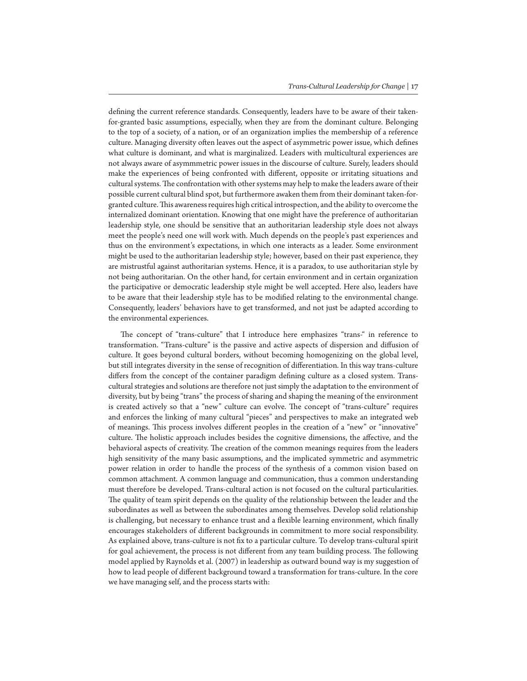defining the current reference standards. Consequently, leaders have to be aware of their takenfor-granted basic assumptions, especially, when they are from the dominant culture. Belonging to the top of a society, of a nation, or of an organization implies the membership of a reference culture. Managing diversity often leaves out the aspect of asymmetric power issue, which defines what culture is dominant, and what is marginalized. Leaders with multicultural experiences are not always aware of asymmmetric power issues in the discourse of culture. Surely, leaders should make the experiences of being confronted with different, opposite or irritating situations and cultural systems. The confrontation with other systems may help to make the leaders aware of their possible current cultural blind spot, but furthermore awaken them from their dominant taken-forgranted culture. This awareness requires high critical introspection, and the ability to overcome the internalized dominant orientation. Knowing that one might have the preference of authoritarian leadership style, one should be sensitive that an authoritarian leadership style does not always meet the people's need one will work with. Much depends on the people's past experiences and thus on the environment's expectations, in which one interacts as a leader. Some environment might be used to the authoritarian leadership style; however, based on their past experience, they are mistrustful against authoritarian systems. Hence, it is a paradox, to use authoritarian style by not being authoritarian. On the other hand, for certain environment and in certain organization the participative or democratic leadership style might be well accepted. Here also, leaders have to be aware that their leadership style has to be modified relating to the environmental change. Consequently, leaders' behaviors have to get transformed, and not just be adapted according to the environmental experiences.

The concept of "trans-culture" that I introduce here emphasizes "trans-" in reference to transformation. "Trans-culture" is the passive and active aspects of dispersion and diffusion of culture. It goes beyond cultural borders, without becoming homogenizing on the global level, but still integrates diversity in the sense of recognition of differentiation. In this way trans-culture differs from the concept of the container paradigm defining culture as a closed system. Transcultural strategies and solutions are therefore not just simply the adaptation to the environment of diversity, but by being "trans" the process of sharing and shaping the meaning of the environment is created actively so that a "new" culture can evolve. The concept of "trans-culture" requires and enforces the linking of many cultural "pieces" and perspectives to make an integrated web of meanings. This process involves different peoples in the creation of a "new" or "innovative" culture. The holistic approach includes besides the cognitive dimensions, the affective, and the behavioral aspects of creativity. The creation of the common meanings requires from the leaders high sensitivity of the many basic assumptions, and the implicated symmetric and asymmetric power relation in order to handle the process of the synthesis of a common vision based on common attachment. A common language and communication, thus a common understanding must therefore be developed. Trans-cultural action is not focused on the cultural particularities. The quality of team spirit depends on the quality of the relationship between the leader and the subordinates as well as between the subordinates among themselves. Develop solid relationship is challenging, but necessary to enhance trust and a flexible learning environment, which finally encourages stakeholders of different backgrounds in commitment to more social responsibility. As explained above, trans-culture is not fix to a particular culture. To develop trans-cultural spirit for goal achievement, the process is not different from any team building process. The following model applied by Raynolds et al. (2007) in leadership as outward bound way is my suggestion of how to lead people of different background toward a transformation for trans-culture. In the core we have managing self, and the process starts with: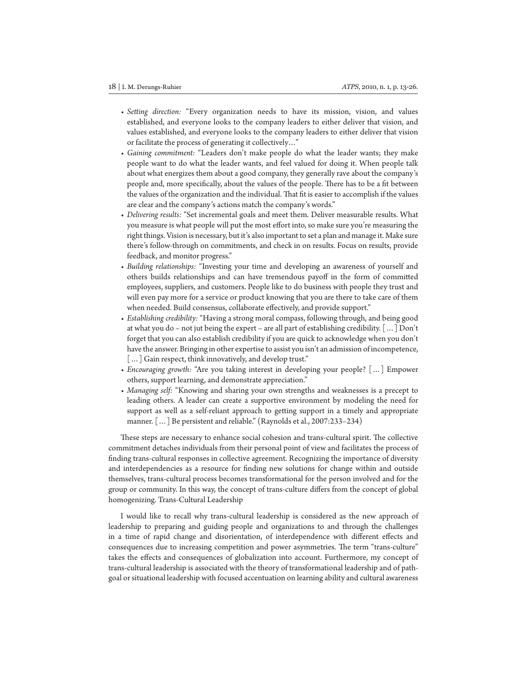- *• Setting direction:* "Every organization needs to have its mission, vision, and values established, and everyone looks to the company leaders to either deliver that vision, and values established, and everyone looks to the company leaders to either deliver that vision or facilitate the process of generating it collectively…"
- *• Gaining commitment:* "Leaders don't make people do what the leader wants; they make people want to do what the leader wants, and feel valued for doing it. When people talk about what energizes them about a good company, they generally rave about the company's people and, more specifically, about the values of the people. There has to be a fit between the values of the organization and the individual. That fit is easier to accomplish if the values are clear and the company's actions match the company's words."
- *• Delivering results:* "Set incremental goals and meet them. Deliver measurable results. What you measure is what people will put the most effort into, so make sure you're measuring the right things. Vision is necessary, but it's also important to set a plan and manage it. Make sure there's follow-through on commitments, and check in on results. Focus on results, provide feedback, and monitor progress."
- *• Building relationships:* "Investing your time and developing an awareness of yourself and others builds relationships and can have tremendous payoff in the form of committed employees, suppliers, and customers. People like to do business with people they trust and will even pay more for a service or product knowing that you are there to take care of them when needed. Build consensus, collaborate effectively, and provide support."
- *• Establishing credibility:* "Having a strong moral compass, following through, and being good at what you do – not jut being the expert – are all part of establishing credibility.  $\lfloor \dots \rfloor$  Don't forget that you can also establish credibility if you are quick to acknowledge when you don't have the answer. Bringing in other expertise to assist you isn't an admission of incompetence, [...] Gain respect, think innovatively, and develop trust."
- *• Encouraging growth:* "Are you taking interest in developing your people? […] Empower others, support learning, and demonstrate appreciation."
- *• Managing self:* "Knowing and sharing your own strengths and weaknesses is a precept to leading others. A leader can create a supportive environment by modeling the need for support as well as a self-reliant approach to getting support in a timely and appropriate manner. […] Be persistent and reliable." (Raynolds et al., 2007:233–234)

These steps are necessary to enhance social cohesion and trans-cultural spirit. The collective commitment detaches individuals from their personal point of view and facilitates the process of finding trans-cultural responses in collective agreement. Recognizing the importance of diversity and interdependencies as a resource for finding new solutions for change within and outside themselves, trans-cultural process becomes transformational for the person involved and for the group or community. In this way, the concept of trans-culture differs from the concept of global homogenizing. Trans-Cultural Leadership

I would like to recall why trans-cultural leadership is considered as the new approach of leadership to preparing and guiding people and organizations to and through the challenges in a time of rapid change and disorientation, of interdependence with different effects and consequences due to increasing competition and power asymmetries. The term "trans-culture" takes the effects and consequences of globalization into account. Furthermore, my concept of trans-cultural leadership is associated with the theory of transformational leadership and of pathgoal or situational leadership with focused accentuation on learning ability and cultural awareness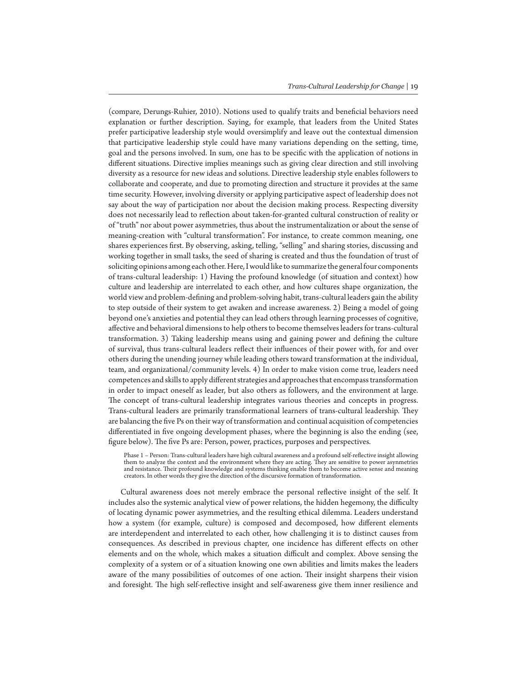(compare, Derungs-Ruhier, 2010). Notions used to qualify traits and beneficial behaviors need explanation or further description. Saying, for example, that leaders from the United States prefer participative leadership style would oversimplify and leave out the contextual dimension that participative leadership style could have many variations depending on the setting, time, goal and the persons involved. In sum, one has to be specific with the application of notions in different situations. Directive implies meanings such as giving clear direction and still involving diversity as a resource for new ideas and solutions. Directive leadership style enables followers to collaborate and cooperate, and due to promoting direction and structure it provides at the same time security. However, involving diversity or applying participative aspect of leadership does not say about the way of participation nor about the decision making process. Respecting diversity does not necessarily lead to reflection about taken-for-granted cultural construction of reality or of "truth" nor about power asymmetries, thus about the instrumentalization or about the sense of meaning-creation with "cultural transformation". For instance, to create common meaning, one shares experiences first. By observing, asking, telling, "selling" and sharing stories, discussing and working together in small tasks, the seed of sharing is created and thus the foundation of trust of soliciting opinions among each other. Here, I would like to summarize the general four components of trans-cultural leadership: 1) Having the profound knowledge (of situation and context) how culture and leadership are interrelated to each other, and how cultures shape organization, the world view and problem-defining and problem-solving habit, trans-cultural leaders gain the ability to step outside of their system to get awaken and increase awareness. 2) Being a model of going beyond one's anxieties and potential they can lead others through learning processes of cognitive, affective and behavioral dimensions to help others to become themselves leaders for trans-cultural transformation. 3) Taking leadership means using and gaining power and defining the culture of survival, thus trans-cultural leaders reflect their influences of their power with, for and over others during the unending journey while leading others toward transformation at the individual, team, and organizational/community levels. 4) In order to make vision come true, leaders need competences and skills to apply different strategies and approaches that encompass transformation in order to impact oneself as leader, but also others as followers, and the environment at large. The concept of trans-cultural leadership integrates various theories and concepts in progress. Trans-cultural leaders are primarily transformational learners of trans-cultural leadership. They are balancing the five Ps on their way of transformation and continual acquisition of competencies differentiated in five ongoing development phases, where the beginning is also the ending (see, figure below). The five Ps are: Person, power, practices, purposes and perspectives.

Phase 1 – Person: Trans-cultural leaders have high cultural awareness and a profound self-reflective insight allowing them to analyze the context and the environment where they are acting. They are sensitive to power asynmetries and resistance. Their profound knowledge and systems thinking enable them to become active sense and meaning creators. In other words they give the direction of the discursive formation of transformation.

Cultural awareness does not merely embrace the personal reflective insight of the self. It includes also the systemic analytical view of power relations, the hidden hegemony, the difficulty of locating dynamic power asymmetries, and the resulting ethical dilemma. Leaders understand how a system (for example, culture) is composed and decomposed, how different elements are interdependent and interrelated to each other, how challenging it is to distinct causes from consequences. As described in previous chapter, one incidence has different effects on other elements and on the whole, which makes a situation difficult and complex. Above sensing the complexity of a system or of a situation knowing one own abilities and limits makes the leaders aware of the many possibilities of outcomes of one action. Their insight sharpens their vision and foresight. The high self-reflective insight and self-awareness give them inner resilience and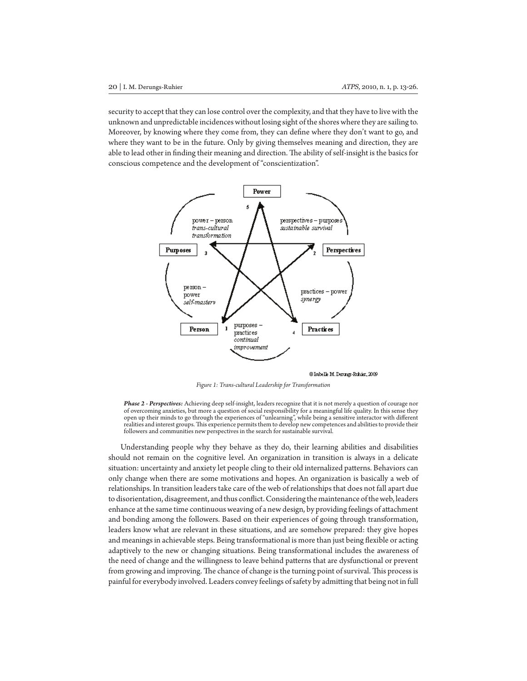security to accept that they can lose control over the complexity, and that they have to live with the unknown and unpredictable incidences without losing sight of the shores where they are sailing to. Moreover, by knowing where they come from, they can define where they don't want to go, and where they want to be in the future. Only by giving themselves meaning and direction, they are able to lead other in finding their meaning and direction. The ability of self-insight is the basics for conscious competence and the development of "conscientization".



@ Isabelle M. Derungs-Ruhder, 2009

*Figure 1: Trans-cultural Leadership for Transformation*

*Phase 2 - Perspectives:* Achieving deep self-insight, leaders recognize that it is not merely a question of courage nor of overcoming anxieties, but more a question of social responsibility for a meaningful life quality. In this sense they open up their minds to go through the experiences of "unlearning", while being a sensitive interactor with different realities and interest groups. This experience permits them to develop new competences and abilities to provide their followers and communities new perspectives in the search for sustainable survival.

Understanding people why they behave as they do, their learning abilities and disabilities should not remain on the cognitive level. An organization in transition is always in a delicate situation: uncertainty and anxiety let people cling to their old internalized patterns. Behaviors can only change when there are some motivations and hopes. An organization is basically a web of relationships. In transition leaders take care of the web of relationships that does not fall apart due to disorientation, disagreement, and thus conflict. Considering the maintenance of the web, leaders enhance at the same time continuous weaving of a new design, by providing feelings of attachment and bonding among the followers. Based on their experiences of going through transformation, leaders know what are relevant in these situations, and are somehow prepared: they give hopes and meanings in achievable steps. Being transformational is more than just being flexible or acting adaptively to the new or changing situations. Being transformational includes the awareness of the need of change and the willingness to leave behind patterns that are dysfunctional or prevent from growing and improving. The chance of change is the turning point of survival. This process is painful for everybody involved. Leaders convey feelings of safety by admitting that being not in full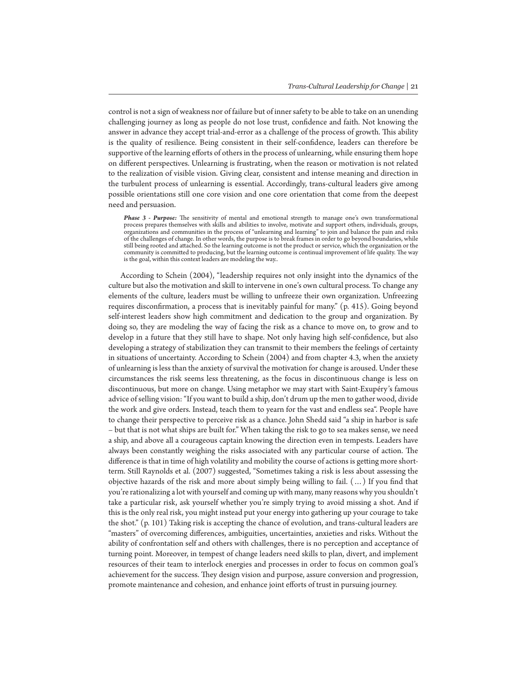control is not a sign of weakness nor of failure but of inner safety to be able to take on an unending challenging journey as long as people do not lose trust, confidence and faith. Not knowing the answer in advance they accept trial-and-error as a challenge of the process of growth. This ability is the quality of resilience. Being consistent in their self-confidence, leaders can therefore be supportive of the learning efforts of others in the process of unlearning, while ensuring them hope on different perspectives. Unlearning is frustrating, when the reason or motivation is not related to the realization of visible vision. Giving clear, consistent and intense meaning and direction in the turbulent process of unlearning is essential. Accordingly, trans-cultural leaders give among possible orientations still one core vision and one core orientation that come from the deepest need and persuasion.

*Phase 3 - Purpose:* The sensitivity of mental and emotional strength to manage one's own transformational process prepares themselves with skills and abilities to involve, motivate and support others, individuals, groups, organizations and communities in the process of "unlearning and learning" to join and balance the pain and risks of the challenges of change. In other words, the purpose is to break frames in order to go beyond boundaries, while still being rooted and attached. So the learning outcome is not the product or service, which the organization or the community is committed to producing, but the learning outcome is continual improvement of life quality. The way is the goal, within this context leaders are modeling the way..

According to Schein (2004), "leadership requires not only insight into the dynamics of the culture but also the motivation and skill to intervene in one's own cultural process. To change any elements of the culture, leaders must be willing to unfreeze their own organization. Unfreezing requires disconfirmation, a process that is inevitably painful for many." (p. 415). Going beyond self-interest leaders show high commitment and dedication to the group and organization. By doing so, they are modeling the way of facing the risk as a chance to move on, to grow and to develop in a future that they still have to shape. Not only having high self-confidence, but also developing a strategy of stabilization they can transmit to their members the feelings of certainty in situations of uncertainty. According to Schein (2004) and from chapter 4.3, when the anxiety of unlearning is less than the anxiety of survival the motivation for change is aroused. Under these circumstances the risk seems less threatening, as the focus in discontinuous change is less on discontinuous, but more on change. Using metaphor we may start with Saint-Exupéry's famous advice of selling vision: "If you want to build a ship, don't drum up the men to gather wood, divide the work and give orders. Instead, teach them to yearn for the vast and endless sea". People have to change their perspective to perceive risk as a chance. John Shedd said "a ship in harbor is safe – but that is not what ships are built for." When taking the risk to go to sea makes sense, we need a ship, and above all a courageous captain knowing the direction even in tempests. Leaders have always been constantly weighing the risks associated with any particular course of action. The difference is that in time of high volatility and mobility the course of actions is getting more shortterm. Still Raynolds et al. (2007) suggested, "Sometimes taking a risk is less about assessing the objective hazards of the risk and more about simply being willing to fail. (…) If you find that you're rationalizing a lot with yourself and coming up with many, many reasons why you shouldn't take a particular risk, ask yourself whether you're simply trying to avoid missing a shot. And if this is the only real risk, you might instead put your energy into gathering up your courage to take the shot." (p. 101) Taking risk is accepting the chance of evolution, and trans-cultural leaders are "masters" of overcoming differences, ambiguities, uncertainties, anxieties and risks. Without the ability of confrontation self and others with challenges, there is no perception and acceptance of turning point. Moreover, in tempest of change leaders need skills to plan, divert, and implement resources of their team to interlock energies and processes in order to focus on common goal's achievement for the success. They design vision and purpose, assure conversion and progression, promote maintenance and cohesion, and enhance joint efforts of trust in pursuing journey.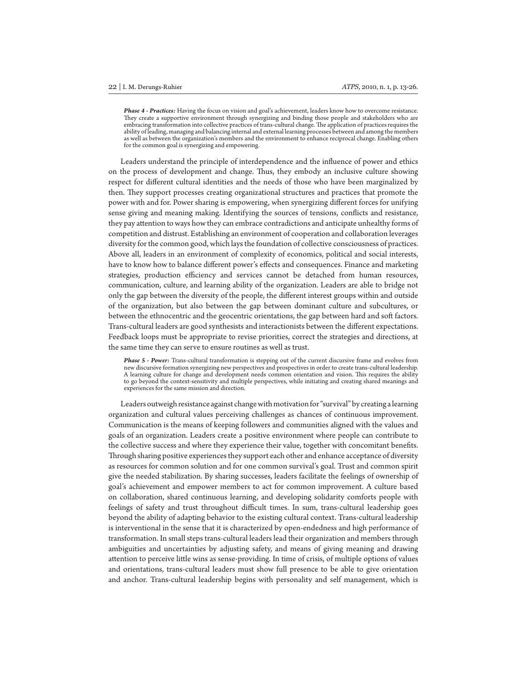*Phase 4 - Practices:* Having the focus on vision and goal's achievement, leaders know how to overcome resistance. They create a supportive environment through synergizing and binding those people and stakeholders who are embracing transformation into collective practices of trans-cultural change. The application of practices requires the ability of leading, managing and balancing internal and external learning processes between and among the members as well as between the organization's members and the environment to enhance reciprocal change. Enabling others for the common goal is synergizing and empowering.

Leaders understand the principle of interdependence and the influence of power and ethics on the process of development and change. Thus, they embody an inclusive culture showing respect for different cultural identities and the needs of those who have been marginalized by then. They support processes creating organizational structures and practices that promote the power with and for. Power sharing is empowering, when synergizing different forces for unifying sense giving and meaning making. Identifying the sources of tensions, conflicts and resistance, they pay attention to ways how they can embrace contradictions and anticipate unhealthy forms of competition and distrust. Establishing an environment of cooperation and collaboration leverages diversity for the common good, which lays the foundation of collective consciousness of practices. Above all, leaders in an environment of complexity of economics, political and social interests, have to know how to balance different power's effects and consequences. Finance and marketing strategies, production efficiency and services cannot be detached from human resources, communication, culture, and learning ability of the organization. Leaders are able to bridge not only the gap between the diversity of the people, the different interest groups within and outside of the organization, but also between the gap between dominant culture and subcultures, or between the ethnocentric and the geocentric orientations, the gap between hard and soft factors. Trans-cultural leaders are good synthesists and interactionists between the different expectations. Feedback loops must be appropriate to revise priorities, correct the strategies and directions, at the same time they can serve to ensure routines as well as trust.

*Phase 5 - Power:* Trans-cultural transformation is stepping out of the current discursive frame and evolves from new discursive formation synergizing new perspectives and prospectives in order to create trans-cultural leadership. A learning culture for change and development needs common orientation and vision. This requires the ability to go beyond the context-sensitivity and multiple perspectives, while initiating and creating shared meanings and experiences for the same mission and direction.

Leaders outweigh resistance against change with motivation for "survival" by creating a learning organization and cultural values perceiving challenges as chances of continuous improvement. Communication is the means of keeping followers and communities aligned with the values and goals of an organization. Leaders create a positive environment where people can contribute to the collective success and where they experience their value, together with concomitant benefits. Through sharing positive experiences they support each other and enhance acceptance of diversity as resources for common solution and for one common survival's goal. Trust and common spirit give the needed stabilization. By sharing successes, leaders facilitate the feelings of ownership of goal's achievement and empower members to act for common improvement. A culture based on collaboration, shared continuous learning, and developing solidarity comforts people with feelings of safety and trust throughout difficult times. In sum, trans-cultural leadership goes beyond the ability of adapting behavior to the existing cultural context. Trans-cultural leadership is interventional in the sense that it is characterized by open-endedness and high performance of transformation. In small steps trans-cultural leaders lead their organization and members through ambiguities and uncertainties by adjusting safety, and means of giving meaning and drawing attention to perceive little wins as sense-providing. In time of crisis, of multiple options of values and orientations, trans-cultural leaders must show full presence to be able to give orientation and anchor. Trans-cultural leadership begins with personality and self management, which is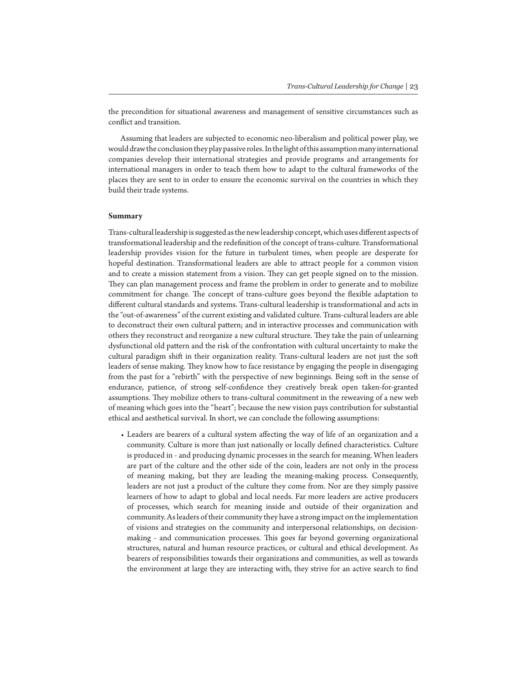the precondition for situational awareness and management of sensitive circumstances such as conflict and transition.

Assuming that leaders are subjected to economic neo-liberalism and political power play, we would draw the conclusion they play passive roles. In the light of this assumption many international companies develop their international strategies and provide programs and arrangements for international managers in order to teach them how to adapt to the cultural frameworks of the places they are sent to in order to ensure the economic survival on the countries in which they build their trade systems.

#### **Summary**

Trans-cultural leadership is suggested as the new leadership concept, which uses different aspects of transformational leadership and the redefinition of the concept of trans-culture. Transformational leadership provides vision for the future in turbulent times, when people are desperate for hopeful destination. Transformational leaders are able to attract people for a common vision and to create a mission statement from a vision. They can get people signed on to the mission. They can plan management process and frame the problem in order to generate and to mobilize commitment for change. The concept of trans-culture goes beyond the flexible adaptation to different cultural standards and systems. Trans-cultural leadership is transformational and acts in the "out-of-awareness" of the current existing and validated culture. Trans-cultural leaders are able to deconstruct their own cultural pattern; and in interactive processes and communication with others they reconstruct and reorganize a new cultural structure. They take the pain of unlearning dysfunctional old pattern and the risk of the confrontation with cultural uncertainty to make the cultural paradigm shift in their organization reality. Trans-cultural leaders are not just the soft leaders of sense making. They know how to face resistance by engaging the people in disengaging from the past for a "rebirth" with the perspective of new beginnings. Being soft in the sense of endurance, patience, of strong self-confidence they creatively break open taken-for-granted assumptions. They mobilize others to trans-cultural commitment in the reweaving of a new web of meaning which goes into the "heart"; because the new vision pays contribution for substantial ethical and aesthetical survival. In short, we can conclude the following assumptions:

• Leaders are bearers of a cultural system affecting the way of life of an organization and a community. Culture is more than just nationally or locally defined characteristics. Culture is produced in - and producing dynamic processes in the search for meaning. When leaders are part of the culture and the other side of the coin, leaders are not only in the process of meaning making, but they are leading the meaning-making process. Consequently, leaders are not just a product of the culture they come from. Nor are they simply passive learners of how to adapt to global and local needs. Far more leaders are active producers of processes, which search for meaning inside and outside of their organization and community. As leaders of their community they have a strong impact on the implementation of visions and strategies on the community and interpersonal relationships, on decisionmaking - and communication processes. This goes far beyond governing organizational structures, natural and human resource practices, or cultural and ethical development. As bearers of responsibilities towards their organizations and communities, as well as towards the environment at large they are interacting with, they strive for an active search to find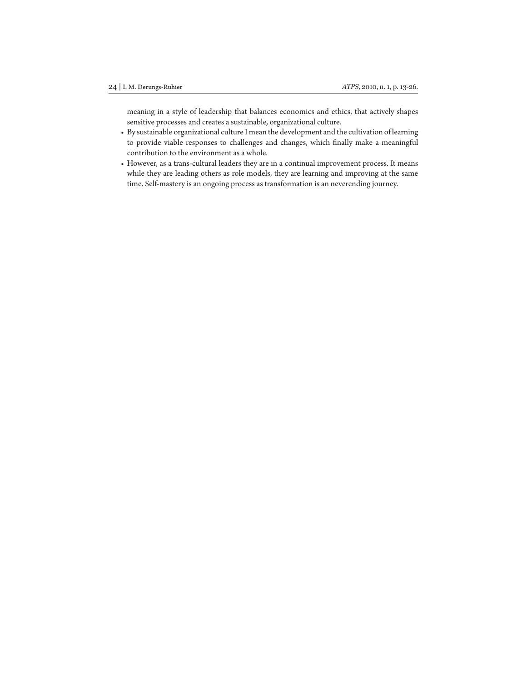meaning in a style of leadership that balances economics and ethics, that actively shapes sensitive processes and creates a sustainable, organizational culture.

- By sustainable organizational culture I mean the development and the cultivation of learning to provide viable responses to challenges and changes, which finally make a meaningful contribution to the environment as a whole.
- However, as a trans-cultural leaders they are in a continual improvement process. It means while they are leading others as role models, they are learning and improving at the same time. Self-mastery is an ongoing process as transformation is an neverending journey.